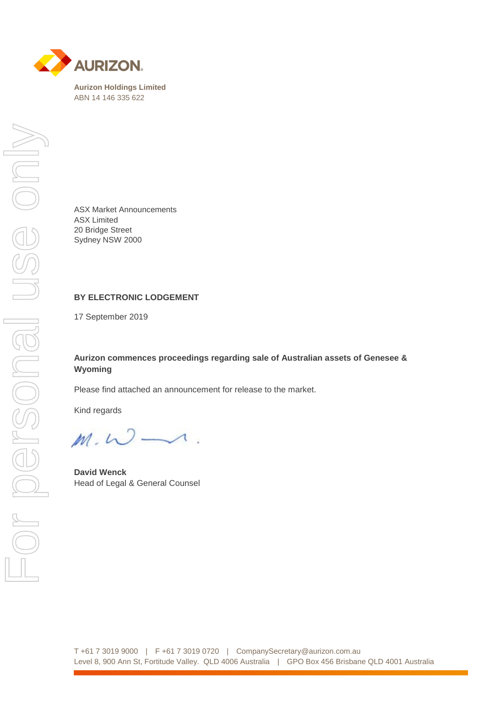

ASX Market Announcements ASX Limited 20 Bridge Street Sydney NSW 2000

## **BY ELECTRONIC LODGEMENT**

17 September 2019

## **Aurizon commences proceedings regarding sale of Australian assets of Genesee & Wyoming**

Please find attached an announcement for release to the market.

Kind regards

 $\longrightarrow$ .  $M. W$ 

**David Wenck** Head of Legal & General Counsel